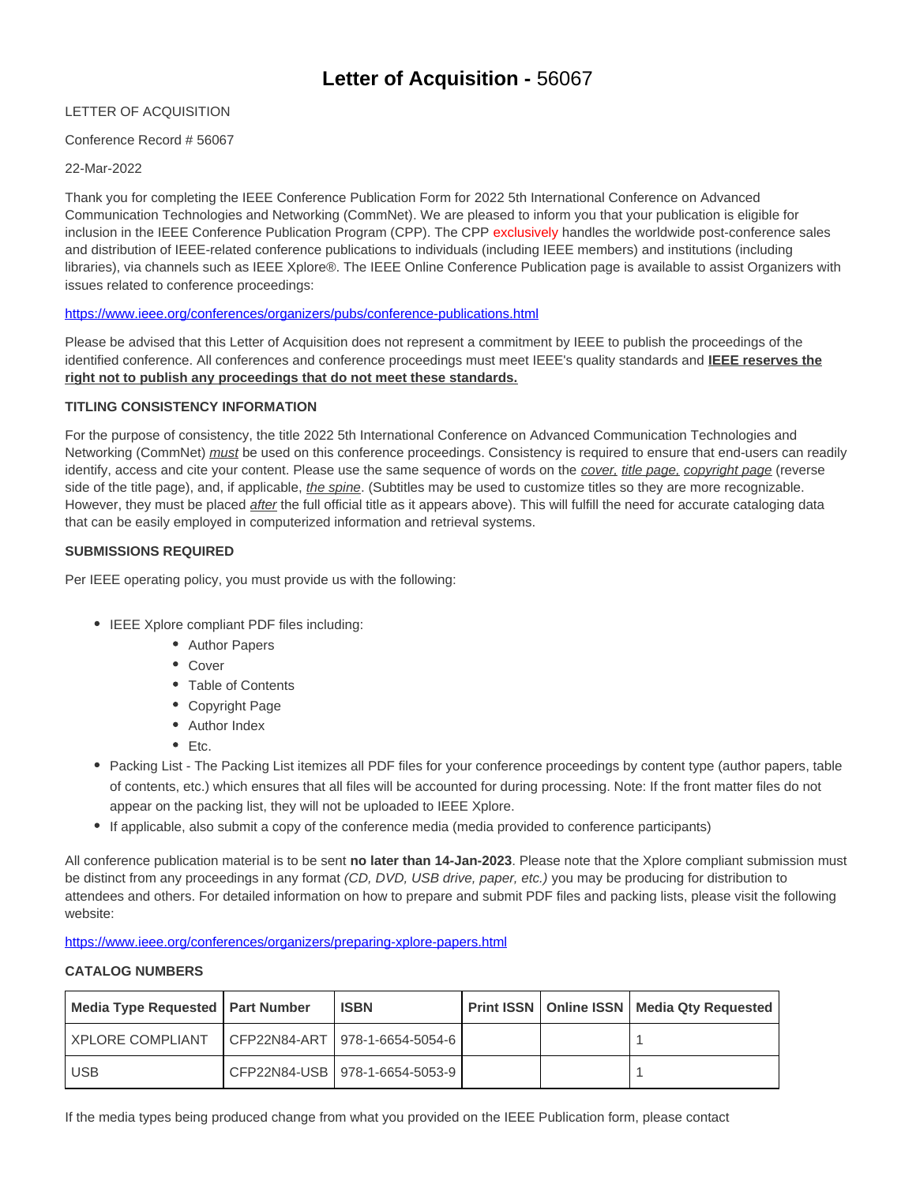# LETTER OF ACQUISITION

# Conference Record # 56067

### 22-Mar-2022

Thank you for completing the IEEE Conference Publication Form for 2022 5th International Conference on Advanced Communication Technologies and Networking (CommNet). We are pleased to inform you that your publication is eligible for inclusion in the IEEE Conference Publication Program (CPP). The CPP exclusively handles the worldwide post-conference sales and distribution of IEEE-related conference publications to individuals (including IEEE members) and institutions (including libraries), via channels such as IEEE Xplore®. The IEEE Online Conference Publication page is available to assist Organizers with issues related to conference proceedings:

https://www.ieee.org/conferences/organizers/pubs/conference-publications.html

Please be advised that this Letter of Acquisition does not represent a commitment by IEEE to publish the proceedings of the identified conference. All conferences and conference proceedings must meet IEEE's quality standards and **IEEE reserves the right not to publish any proceedings that do not meet these standards.**

### **TITLING CONSISTENCY INFORMATION**

For the purpose of consistency, the title 2022 5th International Conference on Advanced Communication Technologies and Networking (CommNet) *must* be used on this conference proceedings. Consistency is required to ensure that end-users can readily identify, access and cite your content. Please use the same sequence of words on the cover, title page, copyright page (reverse side of the title page), and, if applicable, *the spine*. (Subtitles may be used to customize titles so they are more recognizable. However, they must be placed after the full official title as it appears above). This will fulfill the need for accurate cataloging data that can be easily employed in computerized information and retrieval systems.

# **SUBMISSIONS REQUIRED**

Per IEEE operating policy, you must provide us with the following:

- IEEE Xplore compliant PDF files including:
	- Author Papers
	- Cover
	- Table of Contents
	- Copyright Page
	- Author Index
	- $\bullet$  Etc.
- Packing List The Packing List itemizes all PDF files for your conference proceedings by content type (author papers, table of contents, etc.) which ensures that all files will be accounted for during processing. Note: If the front matter files do not appear on the packing list, they will not be uploaded to IEEE Xplore.
- If applicable, also submit a copy of the conference media (media provided to conference participants)

All conference publication material is to be sent **no later than 14-Jan-2023**. Please note that the Xplore compliant submission must be distinct from any proceedings in any format (CD, DVD, USB drive, paper, etc.) you may be producing for distribution to attendees and others. For detailed information on how to prepare and submit PDF files and packing lists, please visit the following website:

https://www.ieee.org/conferences/organizers/preparing-xplore-papers.html

### **CATALOG NUMBERS**

| Media Type Requested   Part Number | <b>ISBN</b>                      |  | <b>Print ISSN</b>   Online ISSN   Media Qty Requested |
|------------------------------------|----------------------------------|--|-------------------------------------------------------|
| <b>XPLORE COMPLIANT</b>            | CFP22N84-ART   978-1-6654-5054-6 |  |                                                       |
| <b>USB</b>                         | CFP22N84-USB   978-1-6654-5053-9 |  |                                                       |

If the media types being produced change from what you provided on the IEEE Publication form, please contact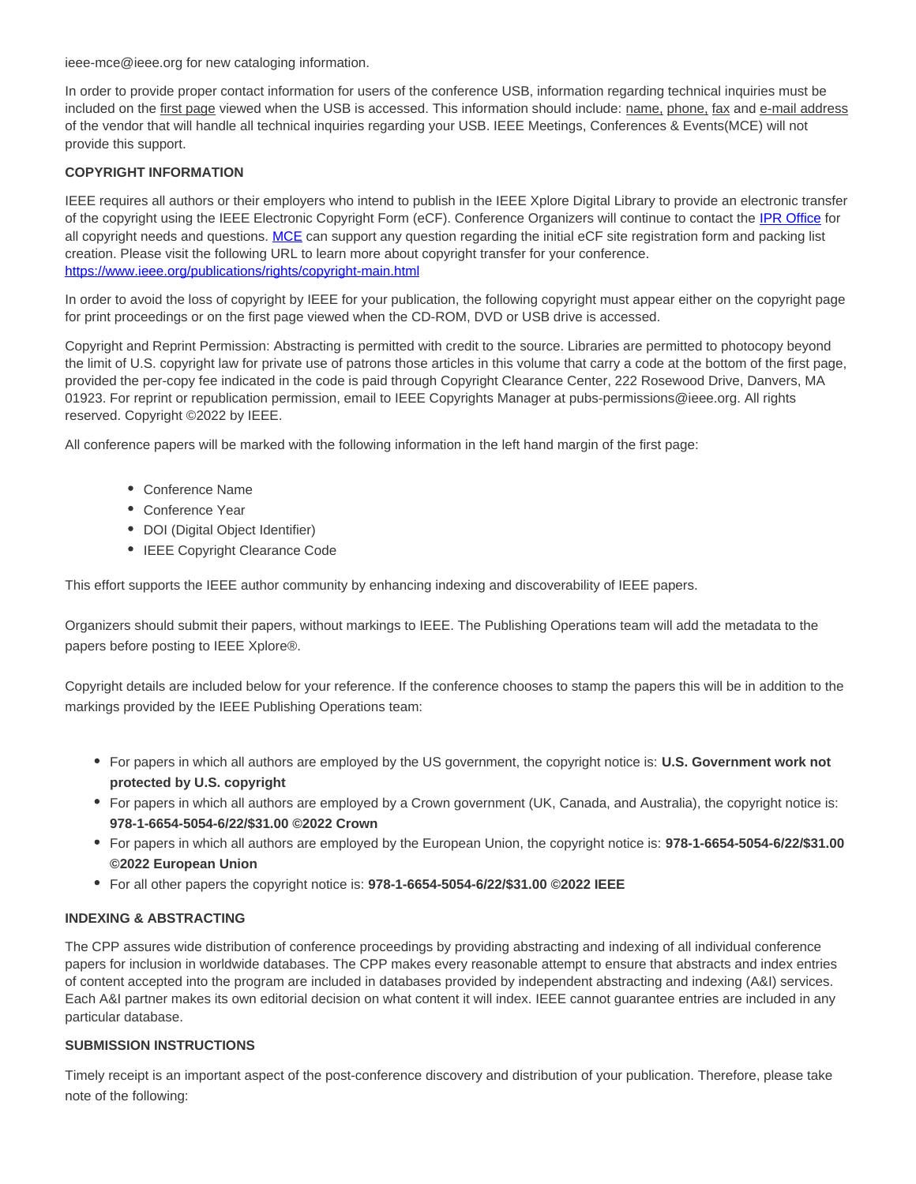ieee-mce@ieee.org for new cataloging information.

In order to provide proper contact information for users of the conference USB, information regarding technical inquiries must be included on the first page viewed when the USB is accessed. This information should include: name, phone, fax and e-mail address of the vendor that will handle all technical inquiries regarding your USB. IEEE Meetings, Conferences & Events(MCE) will not provide this support.

### **COPYRIGHT INFORMATION**

IEEE requires all authors or their employers who intend to publish in the IEEE Xplore Digital Library to provide an electronic transfer of the copyright using the IEEE Electronic Copyright Form (eCF). Conference Organizers will continue to contact the IPR Office for all copyright needs and questions. MCE can support any question regarding the initial eCF site registration form and packing list creation. Please visit the following URL to learn more about copyright transfer for your conference. https://www.ieee.org/publications/rights/copyright-main.html

In order to avoid the loss of copyright by IEEE for your publication, the following copyright must appear either on the copyright page for print proceedings or on the first page viewed when the CD-ROM, DVD or USB drive is accessed.

Copyright and Reprint Permission: Abstracting is permitted with credit to the source. Libraries are permitted to photocopy beyond the limit of U.S. copyright law for private use of patrons those articles in this volume that carry a code at the bottom of the first page, provided the per-copy fee indicated in the code is paid through Copyright Clearance Center, 222 Rosewood Drive, Danvers, MA 01923. For reprint or republication permission, email to IEEE Copyrights Manager at pubs-permissions@ieee.org. All rights reserved. Copyright ©2022 by IEEE.

All conference papers will be marked with the following information in the left hand margin of the first page:

- Conference Name
- Conference Year
- DOI (Digital Object Identifier)
- IEEE Copyright Clearance Code

This effort supports the IEEE author community by enhancing indexing and discoverability of IEEE papers.

Organizers should submit their papers, without markings to IEEE. The Publishing Operations team will add the metadata to the papers before posting to IEEE Xplore®.

Copyright details are included below for your reference. If the conference chooses to stamp the papers this will be in addition to the markings provided by the IEEE Publishing Operations team:

- For papers in which all authors are employed by the US government, the copyright notice is: **U.S. Government work not protected by U.S. copyright**
- For papers in which all authors are employed by a Crown government (UK, Canada, and Australia), the copyright notice is: **978-1-6654-5054-6/22/\$31.00 ©2022 Crown**
- For papers in which all authors are employed by the European Union, the copyright notice is: **978-1-6654-5054-6/22/\$31.00 ©2022 European Union**
- For all other papers the copyright notice is: **978-1-6654-5054-6/22/\$31.00 ©2022 IEEE**

#### **INDEXING & ABSTRACTING**

The CPP assures wide distribution of conference proceedings by providing abstracting and indexing of all individual conference papers for inclusion in worldwide databases. The CPP makes every reasonable attempt to ensure that abstracts and index entries of content accepted into the program are included in databases provided by independent abstracting and indexing (A&I) services. Each A&I partner makes its own editorial decision on what content it will index. IEEE cannot guarantee entries are included in any particular database.

#### **SUBMISSION INSTRUCTIONS**

Timely receipt is an important aspect of the post-conference discovery and distribution of your publication. Therefore, please take note of the following: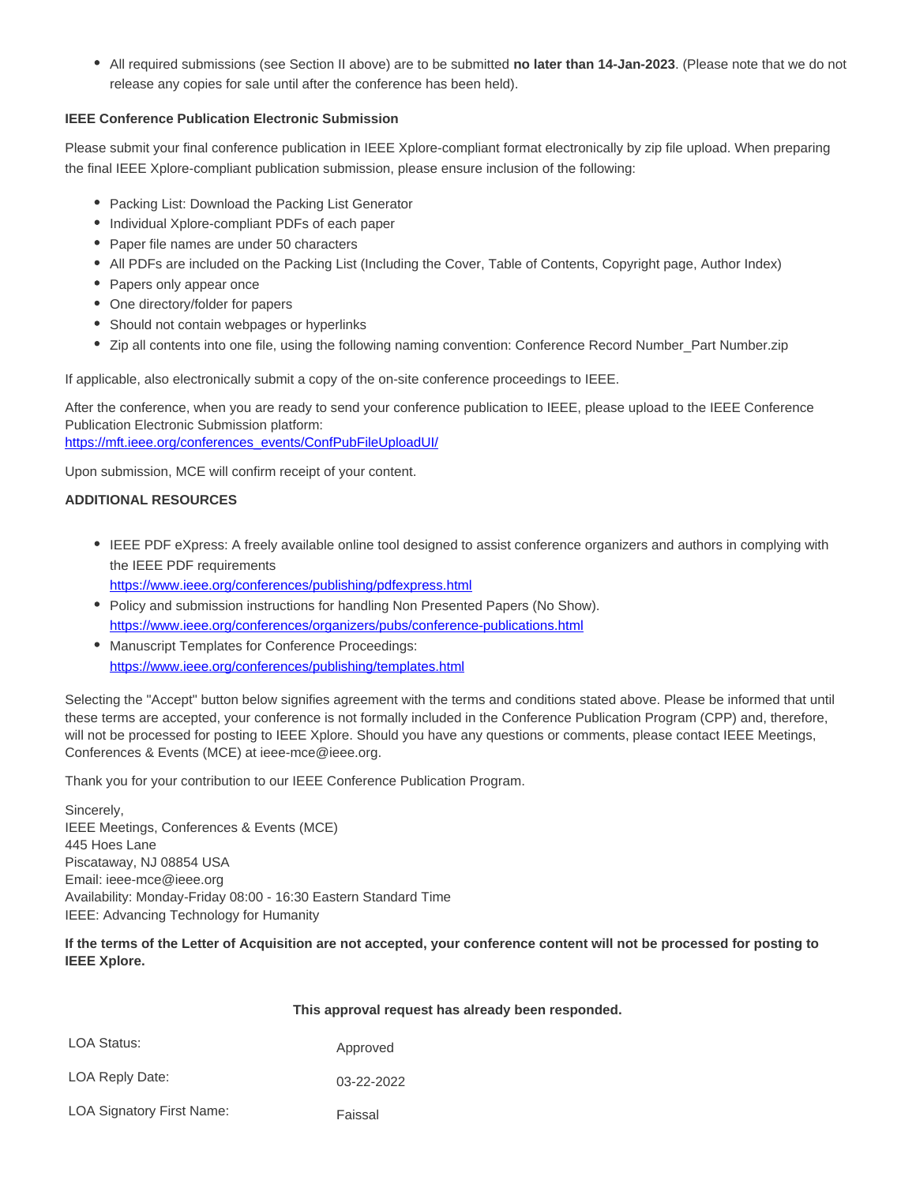All required submissions (see Section II above) are to be submitted **no later than 14-Jan-2023**. (Please note that we do not release any copies for sale until after the conference has been held).

### **IEEE Conference Publication Electronic Submission**

Please submit your final conference publication in IEEE Xplore-compliant format electronically by zip file upload. When preparing the final IEEE Xplore-compliant publication submission, please ensure inclusion of the following:

- Packing List: Download the Packing List Generator
- Individual Xplore-compliant PDFs of each paper
- Paper file names are under 50 characters
- All PDFs are included on the Packing List (Including the Cover, Table of Contents, Copyright page, Author Index)
- Papers only appear once
- One directory/folder for papers
- Should not contain webpages or hyperlinks
- Zip all contents into one file, using the following naming convention: Conference Record Number\_Part Number.zip

If applicable, also electronically submit a copy of the on-site conference proceedings to IEEE.

After the conference, when you are ready to send your conference publication to IEEE, please upload to the IEEE Conference Publication Electronic Submission platform: https://mft.ieee.org/conferences\_events/ConfPubFileUploadUI/

Upon submission, MCE will confirm receipt of your content.

#### **ADDITIONAL RESOURCES**

- IEEE PDF eXpress: A freely available online tool designed to assist conference organizers and authors in complying with the IEEE PDF requirements https://www.ieee.org/conferences/publishing/pdfexpress.html
- Policy and submission instructions for handling Non Presented Papers (No Show). https://www.ieee.org/conferences/organizers/pubs/conference-publications.html
- Manuscript Templates for Conference Proceedings: https://www.ieee.org/conferences/publishing/templates.html

Selecting the "Accept" button below signifies agreement with the terms and conditions stated above. Please be informed that until these terms are accepted, your conference is not formally included in the Conference Publication Program (CPP) and, therefore, will not be processed for posting to IEEE Xplore. Should you have any questions or comments, please contact IEEE Meetings, Conferences & Events (MCE) at ieee-mce@ieee.org.

Thank you for your contribution to our IEEE Conference Publication Program.

Sincerely, IEEE Meetings, Conferences & Events (MCE) 445 Hoes Lane Piscataway, NJ 08854 USA Email: ieee-mce@ieee.org Availability: Monday-Friday 08:00 - 16:30 Eastern Standard Time IEEE: Advancing Technology for Humanity

**If the terms of the Letter of Acquisition are not accepted, your conference content will not be processed for posting to IEEE Xplore.**

|                                  | This approval request has already been responded. |  |  |
|----------------------------------|---------------------------------------------------|--|--|
| LOA Status:                      | Approved                                          |  |  |
| LOA Reply Date:                  | 03-22-2022                                        |  |  |
| <b>LOA Signatory First Name:</b> | Faissal                                           |  |  |